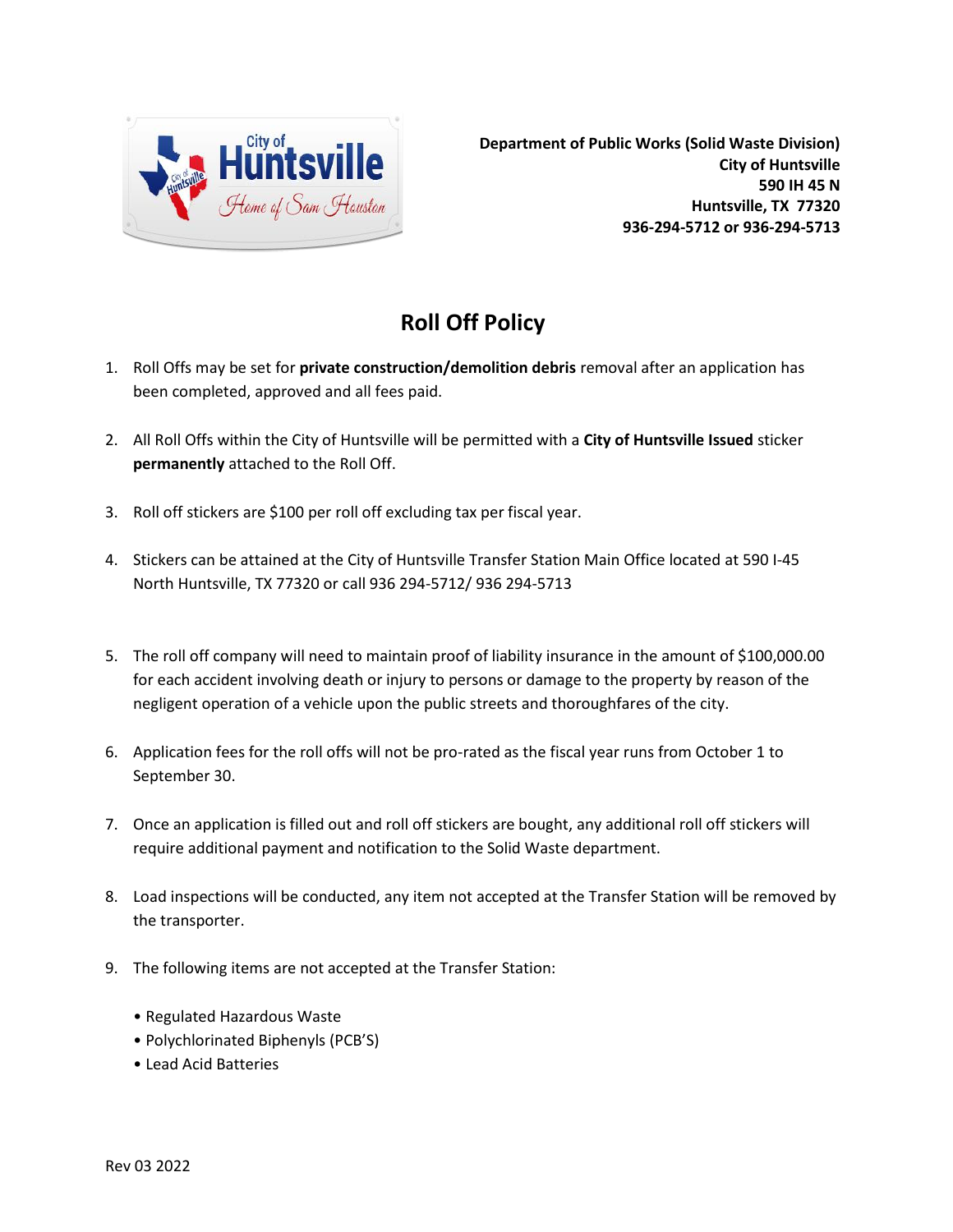

## **Roll Off Policy**

- 1. Roll Offs may be set for **private construction/demolition debris** removal after an application has been completed, approved and all fees paid.
- 2. All Roll Offs within the City of Huntsville will be permitted with a **City of Huntsville Issued** sticker **permanently** attached to the Roll Off.
- 3. Roll off stickers are \$100 per roll off excluding tax per fiscal year.
- 4. Stickers can be attained at the City of Huntsville Transfer Station Main Office located at 590 I-45 North Huntsville, TX 77320 or call 936 294-5712/ 936 294-5713
- 5. The roll off company will need to maintain proof of liability insurance in the amount of \$100,000.00 for each accident involving death or injury to persons or damage to the property by reason of the negligent operation of a vehicle upon the public streets and thoroughfares of the city.
- 6. Application fees for the roll offs will not be pro-rated as the fiscal year runs from October 1 to September 30.
- 7. Once an application is filled out and roll off stickers are bought, any additional roll off stickers will require additional payment and notification to the Solid Waste department.
- 8. Load inspections will be conducted, any item not accepted at the Transfer Station will be removed by the transporter.
- 9. The following items are not accepted at the Transfer Station:
	- Regulated Hazardous Waste
	- Polychlorinated Biphenyls (PCB'S)
	- Lead Acid Batteries